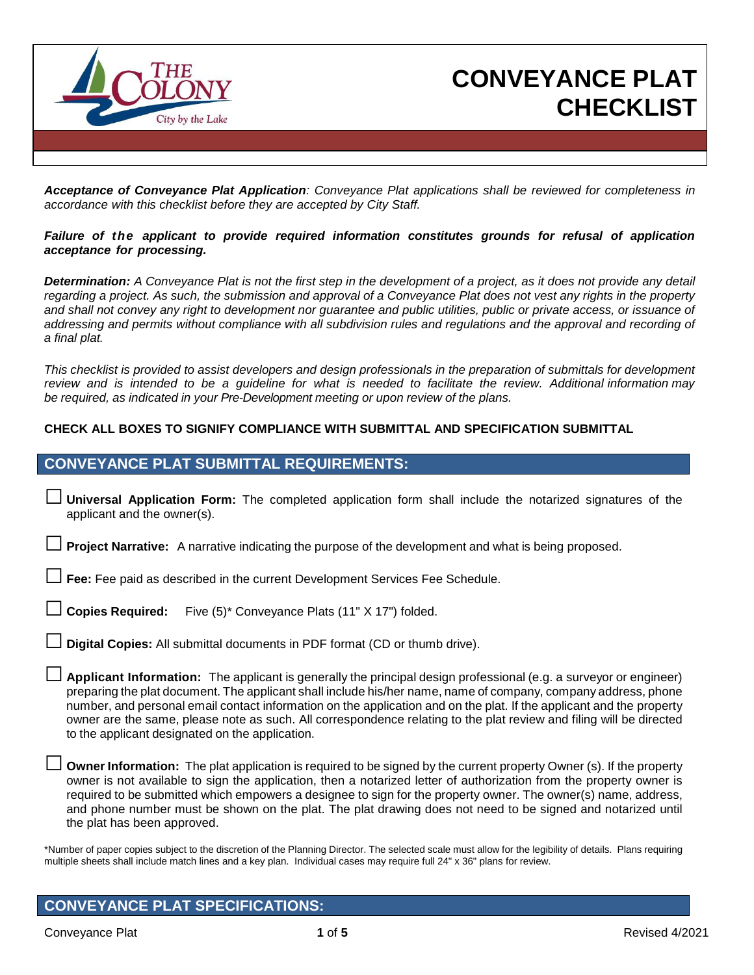

## **CONVEYANCE PLAT CHECKLIST**

*Acceptance of Conveyance Plat Application: Conveyance Plat applications shall be reviewed for completeness in accordance with this checklist before they are accepted by City Staff.*

#### *Failure of the applicant to provide required information constitutes grounds for refusal of application acceptance for processing.*

*Determination: A Conveyance Plat is not the first step in the development of a project, as it does not provide any detail regarding a project. As such, the submission and approval of a Conveyance Plat does not vest any rights in the property and shall not convey any right to development nor guarantee and public utilities, public or private access, or issuance of addressing and permits without compliance with all subdivision rules and regulations and the approval and recording of a final plat.*

This checklist is provided to assist developers and design professionals in the preparation of submittals for development review and is intended to be a guideline for what is needed to facilitate the review. Additional information may *be required, as indicated in your Pre-Development meeting or upon review of the plans.*

#### **CHECK ALL BOXES TO SIGNIFY COMPLIANCE WITH SUBMITTAL AND SPECIFICATION SUBMITTAL**

### **CONVEYANCE PLAT SUBMITTAL REQUIREMENTS:**

□ **Universal Application Form:** The completed application form shall include the notarized signatures of the applicant and the owner(s).

**Project Narrative:** A narrative indicating the purpose of the development and what is being proposed.

**Fee:** Fee paid as described in the current Development Services Fee Schedule.

Copies Required: Five (5)<sup>\*</sup> Conveyance Plats (11" X 17") folded.

Digital Copies: All submittal documents in PDF format (CD or thumb drive).

□ **Applicant Information:** The applicant is generally the principal design professional (e.g. <sup>a</sup> surveyor or engineer) preparing the plat document. The applicant shall include his/her name, name of company, company address, phone number, and personal email contact information on the application and on the plat. If the applicant and the property owner are the same, please note as such. All correspondence relating to the plat review and filing will be directed to the applicant designated on the application.

**Owner Information:** The plat application is required to be signed by the current property Owner (s). If the property owner is not available to sign the application, then a notarized letter of authorization from the property owner is required to be submitted which empowers a designee to sign for the property owner. The owner(s) name, address, and phone number must be shown on the plat. The plat drawing does not need to be signed and notarized until the plat has been approved.

\*Number of paper copies subject to the discretion of the Planning Director. The selected scale must allow for the legibility of details. Plans requiring multiple sheets shall include match lines and a key plan. Individual cases may require full 24" x 36" plans for review.

## **CONVEYANCE PLAT SPECIFICATIONS:**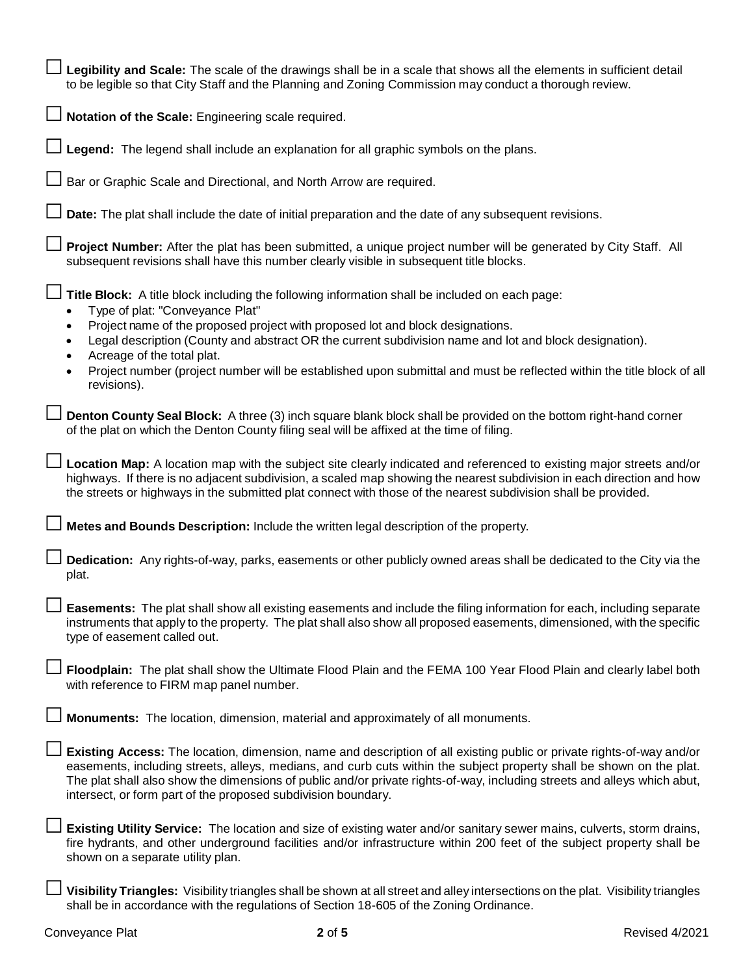| Legibility and Scale: The scale of the drawings shall be in a scale that shows all the elements in sufficient detail<br>to be legible so that City Staff and the Planning and Zoning Commission may conduct a thorough review.                                                                                                                                                                                                             |
|--------------------------------------------------------------------------------------------------------------------------------------------------------------------------------------------------------------------------------------------------------------------------------------------------------------------------------------------------------------------------------------------------------------------------------------------|
| $\Box$ Notation of the Scale: Engineering scale required.                                                                                                                                                                                                                                                                                                                                                                                  |
| $\Box$ Legend: The legend shall include an explanation for all graphic symbols on the plans.                                                                                                                                                                                                                                                                                                                                               |
| □ Bar or Graphic Scale and Directional, and North Arrow are required.                                                                                                                                                                                                                                                                                                                                                                      |
| Date: The plat shall include the date of initial preparation and the date of any subsequent revisions.                                                                                                                                                                                                                                                                                                                                     |
| <b>Project Number:</b> After the plat has been submitted, a unique project number will be generated by City Staff. All<br>subsequent revisions shall have this number clearly visible in subsequent title blocks.                                                                                                                                                                                                                          |
| Title Block: A title block including the following information shall be included on each page:<br>Type of plat: "Conveyance Plat"<br>Project name of the proposed project with proposed lot and block designations.<br>Legal description (County and abstract OR the current subdivision name and lot and block designation).<br>Acreage of the total plat.                                                                                |
| Project number (project number will be established upon submittal and must be reflected within the title block of all<br>revisions).                                                                                                                                                                                                                                                                                                       |
| Denton County Seal Block: A three (3) inch square blank block shall be provided on the bottom right-hand corner<br>of the plat on which the Denton County filing seal will be affixed at the time of filing.                                                                                                                                                                                                                               |
| □ Location Map: A location map with the subject site clearly indicated and referenced to existing major streets and/or<br>highways. If there is no adjacent subdivision, a scaled map showing the nearest subdivision in each direction and how<br>the streets or highways in the submitted plat connect with those of the nearest subdivision shall be provided.                                                                          |
| Metes and Bounds Description: Include the written legal description of the property.                                                                                                                                                                                                                                                                                                                                                       |
| Dedication: Any rights-of-way, parks, easements or other publicly owned areas shall be dedicated to the City via the<br>plat.                                                                                                                                                                                                                                                                                                              |
| Easements: The plat shall show all existing easements and include the filing information for each, including separate<br>instruments that apply to the property. The plat shall also show all proposed easements, dimensioned, with the specific<br>type of easement called out.                                                                                                                                                           |
| Floodplain: The plat shall show the Ultimate Flood Plain and the FEMA 100 Year Flood Plain and clearly label both<br>with reference to FIRM map panel number.                                                                                                                                                                                                                                                                              |
| Monuments: The location, dimension, material and approximately of all monuments.                                                                                                                                                                                                                                                                                                                                                           |
| Existing Access: The location, dimension, name and description of all existing public or private rights-of-way and/or<br>easements, including streets, alleys, medians, and curb cuts within the subject property shall be shown on the plat.<br>The plat shall also show the dimensions of public and/or private rights-of-way, including streets and alleys which abut,<br>intersect, or form part of the proposed subdivision boundary. |
| Existing Utility Service: The location and size of existing water and/or sanitary sewer mains, culverts, storm drains,<br>fire hydrants, and other underground facilities and/or infrastructure within 200 feet of the subject property shall be<br>shown on a separate utility plan.                                                                                                                                                      |
| Visibility Triangles: Visibility triangles shall be shown at all street and alley intersections on the plat. Visibility triangles<br>shall be in accordance with the regulations of Section 18-605 of the Zoning Ordinance.                                                                                                                                                                                                                |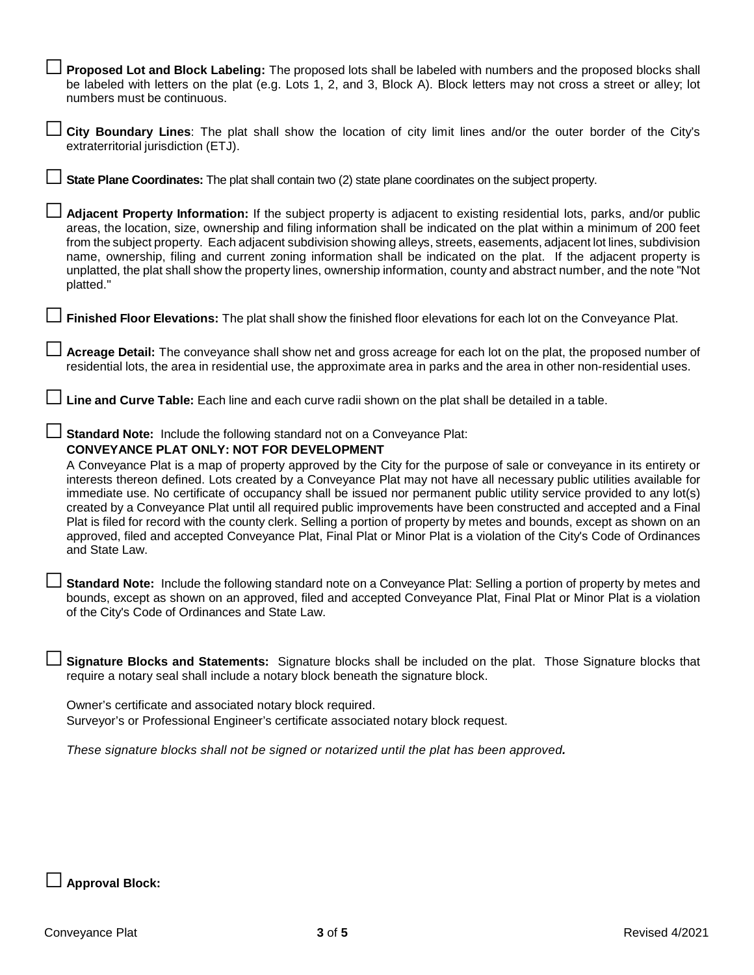| Proposed Lot and Block Labeling: The proposed lots shall be labeled with numbers and the proposed blocks shall<br>be labeled with letters on the plat (e.g. Lots 1, 2, and 3, Block A). Block letters may not cross a street or alley; lot<br>numbers must be continuous.                                                                                                                                                                                                                                                                                                                                                                                                                                                                                                                                                                                                                             |
|-------------------------------------------------------------------------------------------------------------------------------------------------------------------------------------------------------------------------------------------------------------------------------------------------------------------------------------------------------------------------------------------------------------------------------------------------------------------------------------------------------------------------------------------------------------------------------------------------------------------------------------------------------------------------------------------------------------------------------------------------------------------------------------------------------------------------------------------------------------------------------------------------------|
| City Boundary Lines: The plat shall show the location of city limit lines and/or the outer border of the City's<br>extraterritorial jurisdiction (ETJ).                                                                                                                                                                                                                                                                                                                                                                                                                                                                                                                                                                                                                                                                                                                                               |
| State Plane Coordinates: The plat shall contain two (2) state plane coordinates on the subject property.                                                                                                                                                                                                                                                                                                                                                                                                                                                                                                                                                                                                                                                                                                                                                                                              |
| Adjacent Property Information: If the subject property is adjacent to existing residential lots, parks, and/or public<br>areas, the location, size, ownership and filing information shall be indicated on the plat within a minimum of 200 feet<br>from the subject property. Each adjacent subdivision showing alleys, streets, easements, adjacent lot lines, subdivision<br>name, ownership, filing and current zoning information shall be indicated on the plat. If the adjacent property is<br>unplatted, the plat shall show the property lines, ownership information, county and abstract number, and the note "Not<br>platted."                                                                                                                                                                                                                                                            |
| Finished Floor Elevations: The plat shall show the finished floor elevations for each lot on the Conveyance Plat.                                                                                                                                                                                                                                                                                                                                                                                                                                                                                                                                                                                                                                                                                                                                                                                     |
| Acreage Detail: The conveyance shall show net and gross acreage for each lot on the plat, the proposed number of<br>residential lots, the area in residential use, the approximate area in parks and the area in other non-residential uses.                                                                                                                                                                                                                                                                                                                                                                                                                                                                                                                                                                                                                                                          |
| Line and Curve Table: Each line and each curve radii shown on the plat shall be detailed in a table.                                                                                                                                                                                                                                                                                                                                                                                                                                                                                                                                                                                                                                                                                                                                                                                                  |
|                                                                                                                                                                                                                                                                                                                                                                                                                                                                                                                                                                                                                                                                                                                                                                                                                                                                                                       |
| $\Box$ Standard Note: Include the following standard not on a Conveyance Plat:<br>CONVEYANCE PLAT ONLY: NOT FOR DEVELOPMENT<br>A Conveyance Plat is a map of property approved by the City for the purpose of sale or conveyance in its entirety or<br>interests thereon defined. Lots created by a Conveyance Plat may not have all necessary public utilities available for<br>immediate use. No certificate of occupancy shall be issued nor permanent public utility service provided to any lot(s)<br>created by a Conveyance Plat until all required public improvements have been constructed and accepted and a Final<br>Plat is filed for record with the county clerk. Selling a portion of property by metes and bounds, except as shown on an<br>approved, filed and accepted Conveyance Plat, Final Plat or Minor Plat is a violation of the City's Code of Ordinances<br>and State Law. |
| Standard Note: Include the following standard note on a Conveyance Plat: Selling a portion of property by metes and<br>bounds, except as shown on an approved, filed and accepted Conveyance Plat, Final Plat or Minor Plat is a violation<br>of the City's Code of Ordinances and State Law.                                                                                                                                                                                                                                                                                                                                                                                                                                                                                                                                                                                                         |
| Signature Blocks and Statements: Signature blocks shall be included on the plat. Those Signature blocks that<br>require a notary seal shall include a notary block beneath the signature block.                                                                                                                                                                                                                                                                                                                                                                                                                                                                                                                                                                                                                                                                                                       |
| Owner's certificate and associated notary block required.<br>Surveyor's or Professional Engineer's certificate associated notary block request.                                                                                                                                                                                                                                                                                                                                                                                                                                                                                                                                                                                                                                                                                                                                                       |
| These signature blocks shall not be signed or notarized until the plat has been approved.                                                                                                                                                                                                                                                                                                                                                                                                                                                                                                                                                                                                                                                                                                                                                                                                             |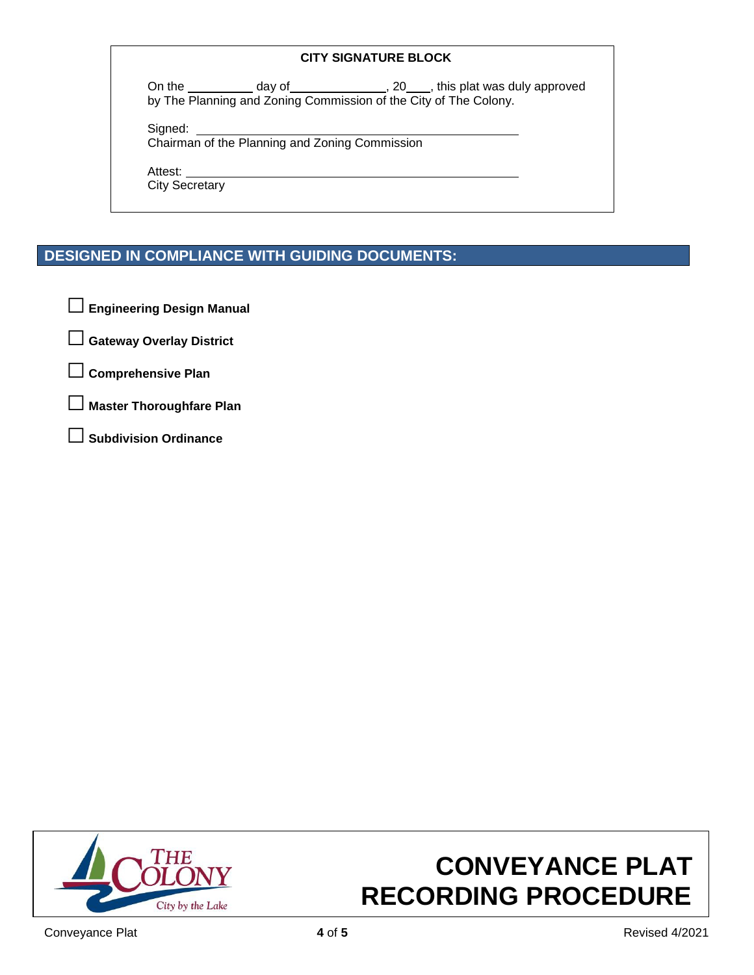#### **CITY SIGNATURE BLOCK**

On the  $\_\_\_\_\_$  day of  $\_\_\_\_\_\_$ , 20  $\_\_\_\_$ , this plat was duly approved by The Planning and Zoning Commission of the City of The Colony.

Signed:

Chairman of the Planning and Zoning Commission

Attest:

City Secretary

## **DESIGNED IN COMPLIANCE WITH GUIDING DOCUMENTS:**

□ **Engineering Design Manual**

□ **Gateway Overlay District**

□ **Comprehensive Plan**

**Master Thoroughfare Plan** 

□ **Subdivision Ordinance**



# **CONVEYANCE PLAT RECORDING PROCEDURE**

Conveyance Plat **4** of **5** Revised 4/2021